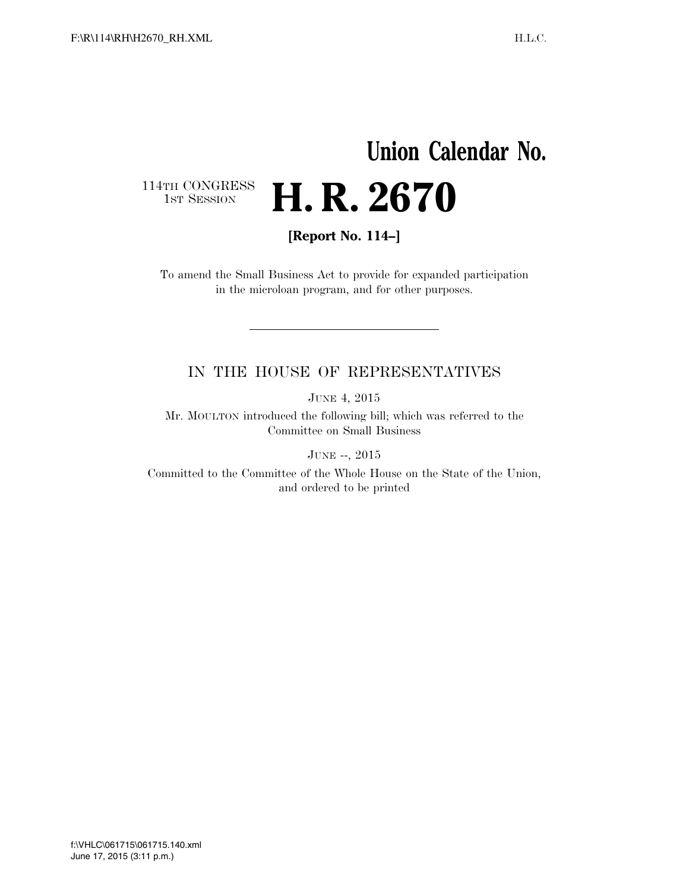# **Union Calendar No.**  114TH CONGRESS<br>1st Session H. R. 2670

**[Report No. 114–]** 

To amend the Small Business Act to provide for expanded participation in the microloan program, and for other purposes.

### IN THE HOUSE OF REPRESENTATIVES

JUNE 4, 2015

Mr. MOULTON introduced the following bill; which was referred to the Committee on Small Business

JUNE --, 2015

Committed to the Committee of the Whole House on the State of the Union, and ordered to be printed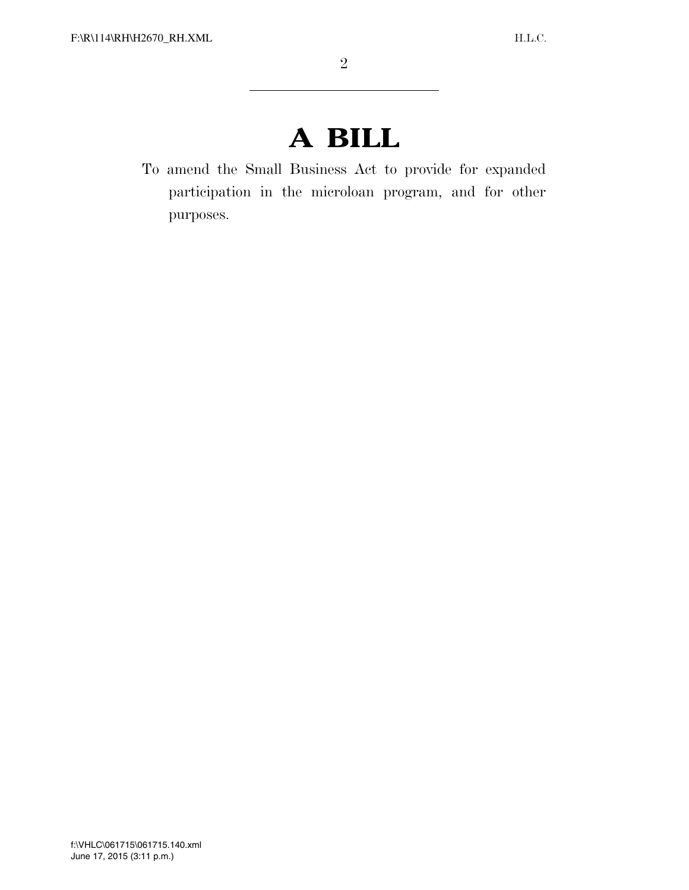# **A BILL**

To amend the Small Business Act to provide for expanded participation in the microloan program, and for other purposes.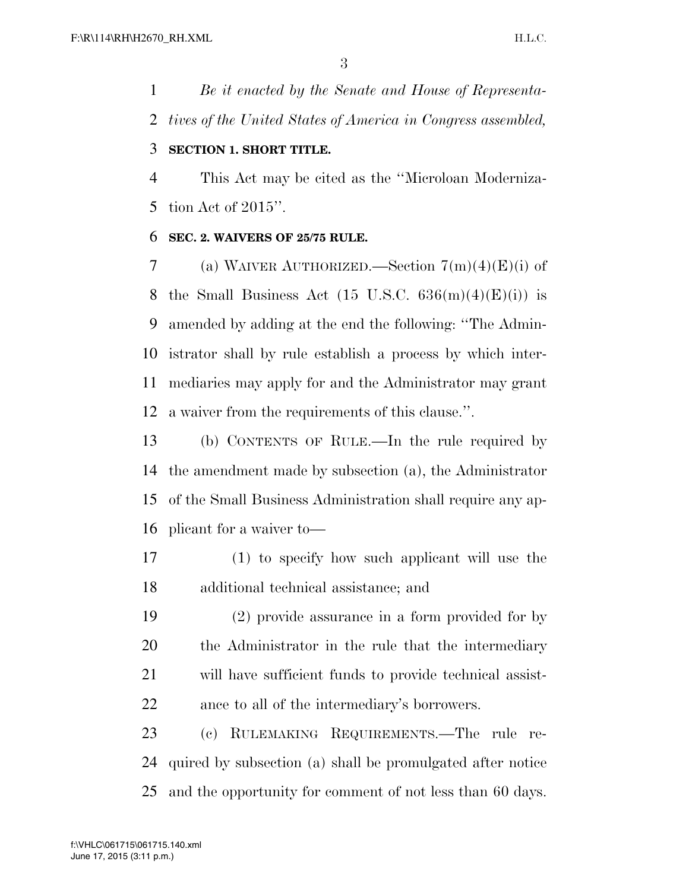*Be it enacted by the Senate and House of Representa-tives of the United States of America in Congress assembled,* 

#### **SECTION 1. SHORT TITLE.**

 This Act may be cited as the ''Microloan Moderniza-tion Act of 2015''.

#### **SEC. 2. WAIVERS OF 25/75 RULE.**

7 (a) WAIVER AUTHORIZED.—Section  $7(m)(4)(E)(i)$  of 8 the Small Business Act  $(15 \text{ U.S.C. } 636(m)(4)(E)(i))$  is amended by adding at the end the following: ''The Admin- istrator shall by rule establish a process by which inter- mediaries may apply for and the Administrator may grant a waiver from the requirements of this clause.''.

 (b) CONTENTS OF RULE.—In the rule required by the amendment made by subsection (a), the Administrator of the Small Business Administration shall require any ap-plicant for a waiver to—

- (1) to specify how such applicant will use the additional technical assistance; and
- (2) provide assurance in a form provided for by the Administrator in the rule that the intermediary will have sufficient funds to provide technical assist-ance to all of the intermediary's borrowers.

 (c) RULEMAKING REQUIREMENTS.—The rule re- quired by subsection (a) shall be promulgated after notice and the opportunity for comment of not less than 60 days.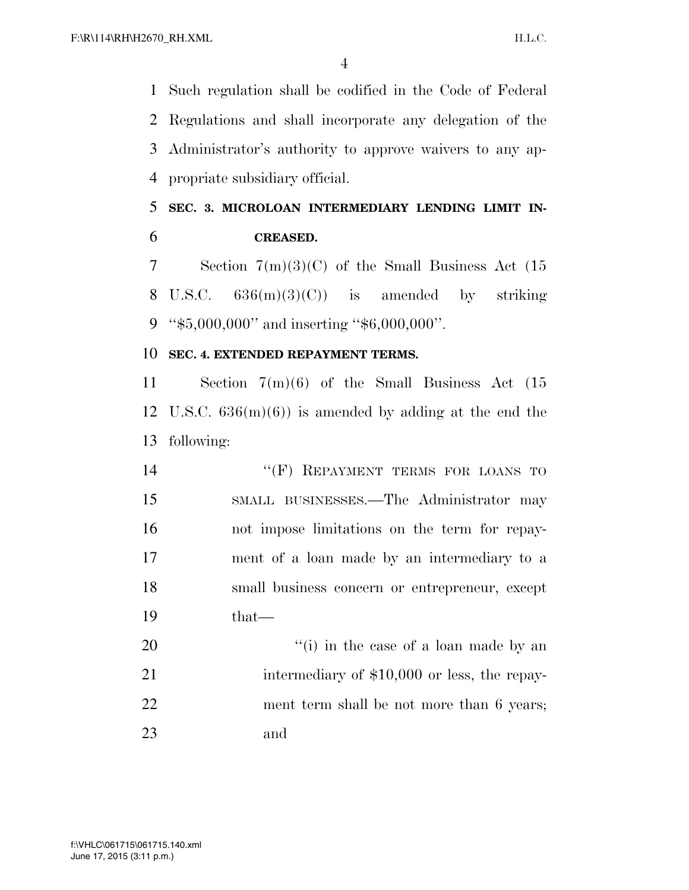Such regulation shall be codified in the Code of Federal Regulations and shall incorporate any delegation of the Administrator's authority to approve waivers to any ap-propriate subsidiary official.

### **SEC. 3. MICROLOAN INTERMEDIARY LENDING LIMIT IN-CREASED.**

 Section 7(m)(3)(C) of the Small Business Act (15 8 U.S.C.  $636(m)(3)(C)$  is amended by striking ''\$5,000,000'' and inserting ''\$6,000,000''.

#### **SEC. 4. EXTENDED REPAYMENT TERMS.**

 Section 7(m)(6) of the Small Business Act (15 12 U.S.C.  $636(m)(6)$  is amended by adding at the end the following:

14 "(F) REPAYMENT TERMS FOR LOANS TO SMALL BUSINESSES.—The Administrator may not impose limitations on the term for repay- ment of a loan made by an intermediary to a small business concern or entrepreneur, except that—

 ''(i) in the case of a loan made by an 21 intermediary of \$10,000 or less, the repay- ment term shall be not more than 6 years; and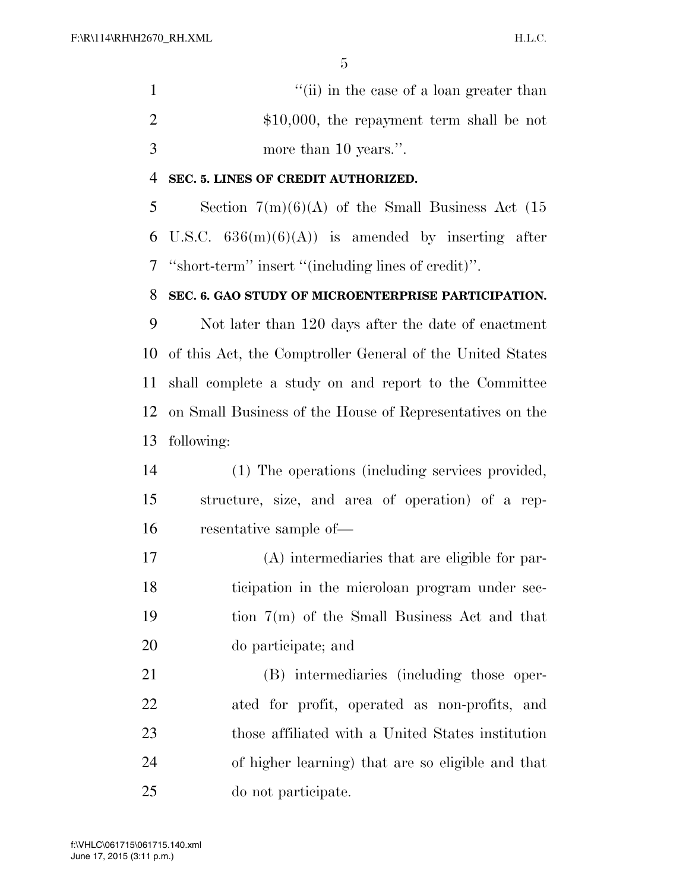1 ''(ii) in the case of a loan greater than 2  $\text{\$10,000}, \text{ the repayment term shall be not}$ more than 10 years.''.

#### **SEC. 5. LINES OF CREDIT AUTHORIZED.**

5 Section  $7(m)(6)(A)$  of the Small Business Act (15 6 U.S.C.  $636(m)(6)(A)$  is amended by inserting after ''short-term'' insert ''(including lines of credit)''.

#### **SEC. 6. GAO STUDY OF MICROENTERPRISE PARTICIPATION.**

 Not later than 120 days after the date of enactment of this Act, the Comptroller General of the United States shall complete a study on and report to the Committee on Small Business of the House of Representatives on the following:

- (1) The operations (including services provided, structure, size, and area of operation) of a rep-resentative sample of—
- (A) intermediaries that are eligible for par- ticipation in the microloan program under sec- tion 7(m) of the Small Business Act and that do participate; and

 (B) intermediaries (including those oper- ated for profit, operated as non-profits, and those affiliated with a United States institution of higher learning) that are so eligible and that do not participate.